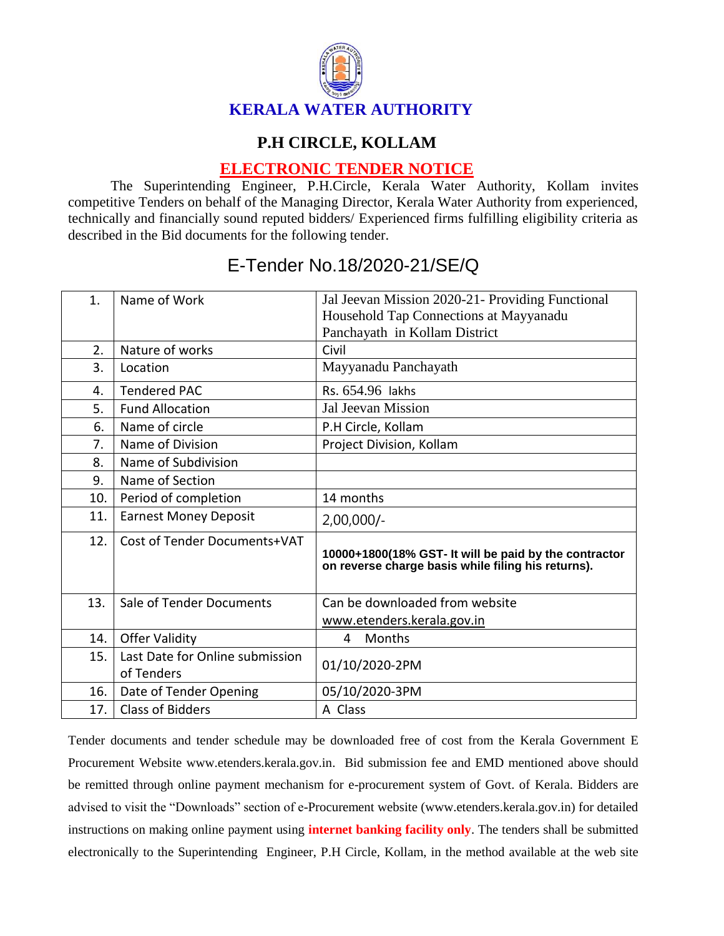

## **P.H CIRCLE, KOLLAM**

## **ELECTRONIC TENDER NOTICE**

The Superintending Engineer, P.H.Circle, Kerala Water Authority, Kollam invites competitive Tenders on behalf of the Managing Director, Kerala Water Authority from experienced, technically and financially sound reputed bidders/ Experienced firms fulfilling eligibility criteria as described in the Bid documents for the following tender.

| 1.  | Name of Work                                  | Jal Jeevan Mission 2020-21- Providing Functional<br>Household Tap Connections at Mayyanadu<br>Panchayath in Kollam District |
|-----|-----------------------------------------------|-----------------------------------------------------------------------------------------------------------------------------|
| 2.  | Nature of works                               | Civil                                                                                                                       |
| 3.  | Location                                      | Mayyanadu Panchayath                                                                                                        |
| 4.  | <b>Tendered PAC</b>                           | Rs. 654.96 lakhs                                                                                                            |
| 5.  | <b>Fund Allocation</b>                        | Jal Jeevan Mission                                                                                                          |
| 6.  | Name of circle                                | P.H Circle, Kollam                                                                                                          |
| 7.  | Name of Division                              | Project Division, Kollam                                                                                                    |
| 8.  | Name of Subdivision                           |                                                                                                                             |
| 9.  | Name of Section                               |                                                                                                                             |
| 10. | Period of completion                          | 14 months                                                                                                                   |
| 11. | <b>Earnest Money Deposit</b>                  | $2,00,000/-$                                                                                                                |
| 12. | Cost of Tender Documents+VAT                  | 10000+1800(18% GST- It will be paid by the contractor<br>on reverse charge basis while filing his returns).                 |
| 13. | Sale of Tender Documents                      | Can be downloaded from website                                                                                              |
|     |                                               | www.etenders.kerala.gov.in                                                                                                  |
| 14. | <b>Offer Validity</b>                         | Months<br>4                                                                                                                 |
| 15. | Last Date for Online submission<br>of Tenders | 01/10/2020-2PM                                                                                                              |
| 16. | Date of Tender Opening                        | 05/10/2020-3PM                                                                                                              |
| 17. | <b>Class of Bidders</b>                       | A Class                                                                                                                     |

## E-Tender No.18/2020-21/SE/Q

Tender documents and tender schedule may be downloaded free of cost from the Kerala Government E Procurement Website www.etenders.kerala.gov.in. Bid submission fee and EMD mentioned above should be remitted through online payment mechanism for e-procurement system of Govt. of Kerala. Bidders are advised to visit the "Downloads" section of e-Procurement website (www.etenders.kerala.gov.in) for detailed instructions on making online payment using **internet banking facility only**. The tenders shall be submitted electronically to the Superintending Engineer, P.H Circle, Kollam, in the method available at the web site